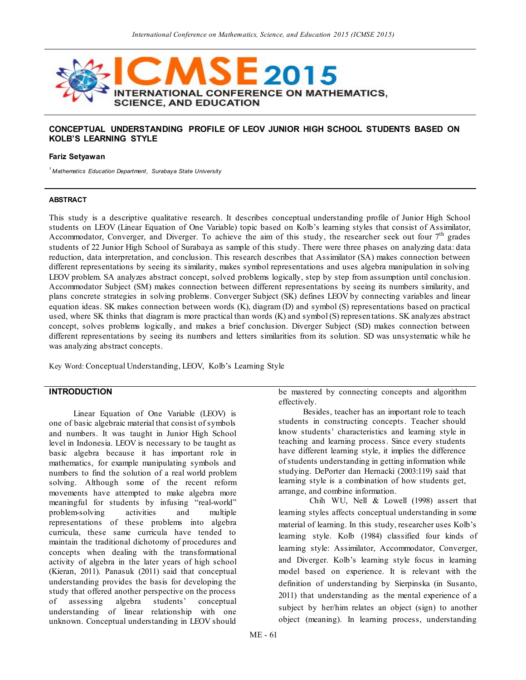

#### **CONCEPTUAL UNDERSTANDING PROFILE OF LEOV JUNIOR HIGH SCHOOL STUDENTS BASED ON KOLB'S LEARNING STYLE**

#### **Fariz Setyawan**

*<sup>1</sup>Mathematics Education Department, Surabaya State University*

#### **ABSTRACT**

This study is a descriptive qualitative research. It describes conceptual understanding profile of Junior High School students on LEOV (Linear Equation of One Variable) topic based on Kolb's learning styles that consist of Assimilator, Accommodator, Converger, and Diverger. To achieve the aim of this study, the researcher seek out four  $7<sup>th</sup>$  grades students of 22 Junior High School of Surabaya as sample of this study. There were three phases on analyzing data: data reduction, data interpretation, and conclusion. This research describes that Assimilator (SA) makes connection between different representations by seeing its similarity, makes symbol representations and uses algebra manipulation in solving LEOV problem. SA analyzes abstract concept, solved problems logically, step by step from assumption until conclusion. Accommodator Subject (SM) makes connection between different representations by seeing its numbers similarity, and plans concrete strategies in solving problems. Converger Subject (SK) defines LEOV by connecting variables and linear equation ideas. SK makes connection between words (K), diagram (D) and symbol (S) representations based on practical used, where SK thinks that diagram is more practical than words (K) and symbol (S) represen tations. SK analyzes abstract concept, solves problems logically, and makes a brief conclusion. Diverger Subject (SD) makes connection between different representations by seeing its numbers and letters similarities from its solution. SD was unsystematic while he was analyzing abstract concepts.

Key Word: Conceptual Understanding, LEOV, Kolb's Learning Style

#### **INTRODUCTION**

Linear Equation of One Variable (LEOV) is one of basic algebraic material that consist of symbols and numbers. It was taught in Junior High School level in Indonesia. LEOV is necessary to be taught as basic algebra because it has important role in mathematics, for example manipulating symbols and numbers to find the solution of a real world problem solving. Although some of the recent reform movements have attempted to make algebra more meaningful for students by infusing "real-world" problem-solving activities and multiple representations of these problems into algebra curricula, these same curricula have tended to maintain the traditional dichotomy of procedures and concepts when dealing with the transformational activity of algebra in the later years of high school (Kieran, 2011). Panasuk (2011) said that conceptual understanding provides the basis for developing the study that offered another perspective on the process of assessing algebra students' conceptual understanding of linear relationship with one unknown. Conceptual understanding in LEOV should

be mastered by connecting concepts and algorithm effectively.

Besides, teacher has an important role to teach students in constructing concepts. Teacher should know students' characteristics and learning style in teaching and learning process. Since every students have different learning style, it implies the difference of students understanding in getting information while studying. DePorter dan Hernacki (2003:119) said that learning style is a combination of how students get, arrange, and combine information.

Chih WU, Nell & Lowell (1998) assert that learning styles affects conceptual understanding in some material of learning. In this study, researcher uses Kolb's learning style. Kolb (1984) classified four kinds of learning style: Assimilator, Accommodator, Converger, and Diverger. Kolb's learning style focus in learning model based on experience. It is relevant with the definition of understanding by Sierpinska (in Susanto, 2011) that understanding as the mental experience of a subject by her/him relates an object (sign) to another object (meaning). In learning process, understanding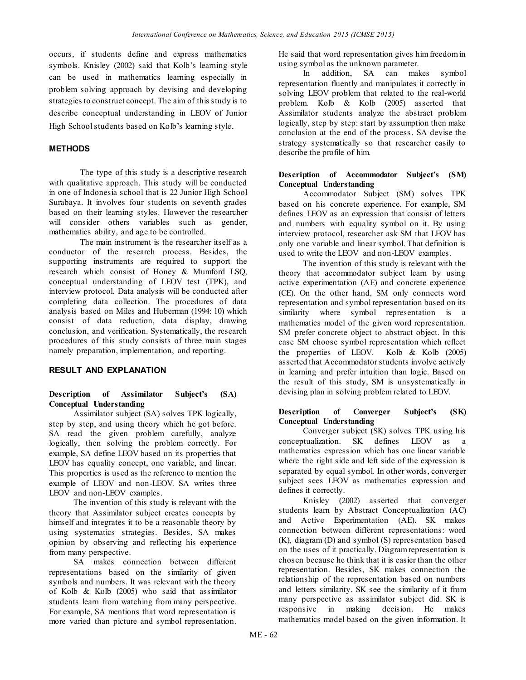occurs, if students define and express mathematics symbols. Knisley (2002) said that Kolb's learning style can be used in mathematics learning especially in problem solving approach by devising and developing strategies to construct concept. The aim of this study is to describe conceptual understanding in LEOV of Junior High School students based on Kolb's learning style.

# **METHODS**

The type of this study is a descriptive research with qualitative approach. This study will be conducted in one of Indonesia school that is 22 Junior High School Surabaya. It involves four students on seventh grades based on their learning styles. However the researcher will consider others variables such as gender, mathematics ability, and age to be controlled.

The main instrument is the researcher itself as a conductor of the research process. Besides, the supporting instruments are required to support the research which consist of Honey & Mumford LSQ, conceptual understanding of LEOV test (TPK), and interview protocol. Data analysis will be conducted after completing data collection. The procedures of data analysis based on Miles and Huberman (1994: 10) which consist of data reduction, data display, drawing conclusion, and verification. Systematically, the research procedures of this study consists of three main stages namely preparation, implementation, and reporting.

# **RESULT AND EXPLANATION**

### **Description of Assimilator Subject's (SA) Conceptual Understanding**

Assimilator subject (SA) solves TPK logically, step by step, and using theory which he got before. SA read the given problem carefully, analyze logically, then solving the problem correctly. For example, SA define LEOV based on its properties that LEOV has equality concept, one variable, and linear. This properties is used as the reference to mention the example of LEOV and non-LEOV. SA writes three LEOV and non-LEOV examples.

The invention of this study is relevant with the theory that Assimilator subject creates concepts by himself and integrates it to be a reasonable theory by using systematics strategies. Besides, SA makes opinion by observing and reflecting his experience from many perspective.

SA makes connection between different representations based on the similarity of given symbols and numbers. It was relevant with the theory of Kolb & Kolb (2005) who said that assimilator students learn from watching from many perspective. For example, SA mentions that word representation is more varied than picture and symbol representation.

He said that word representation gives him freedom in using symbol as the unknown parameter.

In addition, SA can makes symbol representation fluently and manipulates it correctly in solving LEOV problem that related to the real-world problem. Kolb & Kolb (2005) asserted that Assimilator students analyze the abstract problem logically, step by step: start by assumption then make conclusion at the end of the process. SA devise the strategy systematically so that researcher easily to describe the profile of him.

### **Description of Accommodator Subject's (SM) Conceptual Understanding**

Accommodator Subject (SM) solves TPK based on his concrete experience. For example, SM defines LEOV as an expression that consist of letters and numbers with equality symbol on it. By using interview protocol, researcher ask SM that LEOV has only one variable and linear symbol. That definition is used to write the LEOV and non-LEOV examples.

The invention of this study is relevant with the theory that accommodator subject learn by using active experimentation (AE) and concrete experience (CE). On the other hand, SM only connects word representation and symbol representation based on its similarity where symbol representation is a mathematics model of the given word representation. SM prefer concrete object to abstract object. In this case SM choose symbol representation which reflect the properties of LEOV. Kolb & Kolb (2005) asserted that Accommodator students involve actively in learning and prefer intuition than logic. Based on the result of this study, SM is unsystematically in devising plan in solving problem related to LEOV.

### **Description of Converger Subject's (SK) Conceptual Understanding**

Converger subject (SK) solves TPK using his conceptualization. SK defines LEOV as a mathematics expression which has one linear variable where the right side and left side of the expression is separated by equal symbol. In other words, converger subject sees LEOV as mathematics expression and defines it correctly.

Knisley (2002) asserted that converger students learn by Abstract Conceptualization (AC) and Active Experimentation (AE). SK makes connection between different representations: word (K), diagram (D) and symbol (S) representation based on the uses of it practically. Diagram representation is chosen because he think that it is easier than the other representation. Besides, SK makes connection the relationship of the representation based on numbers and letters similarity. SK see the similarity of it from many perspective as assimilator subject did. SK is responsive in making decision. He makes mathematics model based on the given information. It